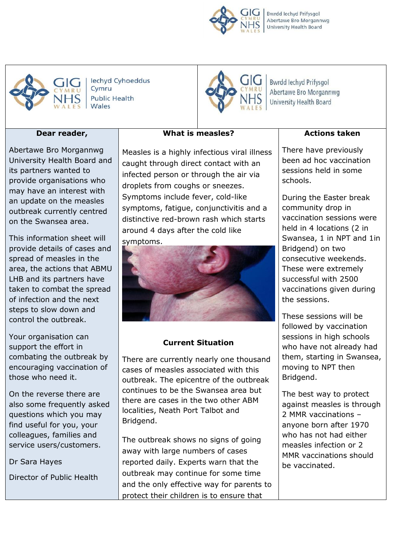Bwrdd Iechyd Prifysgol Abertawe Bro Morgannwg University Health Board



lechyd Cyhoeddus Cymru **Public Health** Wales

# GIGT

Bwrdd Iechyd Prifysgol Abertawe Bro Morgannwg University Health Board

# **Dear reader,**

Abertawe Bro Morgannwg University Health Board and its partners wanted to provide organisations who may have an interest with an update on the measles outbreak currently centred on the Swansea area.

This information sheet will provide details of cases and spread of measles in the area, the actions that ABMU LHB and its partners have taken to combat the spread of infection and the next steps to slow down and control the outbreak.

Your organisation can support the effort in combating the outbreak by encouraging vaccination of those who need it.

On the reverse there are also some frequently asked questions which you may find useful for you, your colleagues, families and service users/customers.

Dr Sara Hayes

Director of Public Health

Measles is a highly infectious viral illness caught through direct contact with an infected person or through the air via droplets from coughs or sneezes. Symptoms include fever, cold-like symptoms, fatigue, conjunctivitis and a distinctive red-brown rash which starts around 4 days after the cold like symptoms.

**What is measles?**



# **Current Situation**

There are currently nearly one thousand cases of measles associated with this outbreak. The epicentre of the outbreak continues to be the Swansea area but there are cases in the two other ABM localities, Neath Port Talbot and Bridgend.

The outbreak shows no signs of going away with large numbers of cases reported daily. Experts warn that the outbreak may continue for some time and the only effective way for parents to protect their children is to ensure that

**Actions taken**

There have previously been ad hoc vaccination sessions held in some schools.

During the Easter break community drop in vaccination sessions were held in 4 locations (2 in Swansea, 1 in NPT and 1in Bridgend) on two consecutive weekends. These were extremely successful with 2500 vaccinations given during the sessions.

These sessions will be followed by vaccination sessions in high schools who have not already had them, starting in Swansea, moving to NPT then Bridgend.

The best way to protect against measles is through 2 MMR vaccinations – anyone born after 1970 who has not had either measles infection or 2 MMR vaccinations should be vaccinated.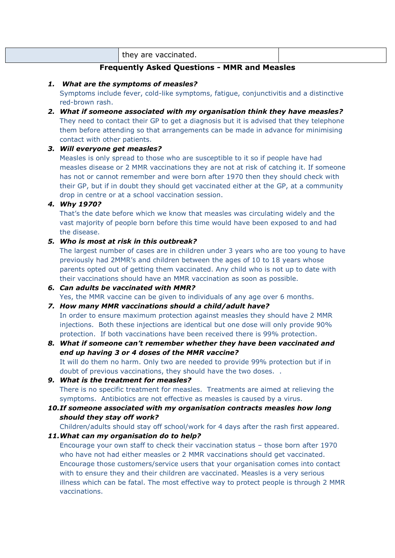|  | $\overline{a}$<br>⊔ ev<br>$\mathbf{v}$<br>.<br>.<br> |  |
|--|------------------------------------------------------|--|
|--|------------------------------------------------------|--|

# **Frequently Asked Questions - MMR and Measles**

#### *1. What are the symptoms of measles?*

Symptoms include fever, cold-like symptoms, fatigue, conjunctivitis and a distinctive red-brown rash.

*2. What if someone associated with my organisation think they have measles?* They need to contact their GP to get a diagnosis but it is advised that they telephone them before attending so that arrangements can be made in advance for minimising contact with other patients.

## *3. Will everyone get measles?*

Measles is only spread to those who are susceptible to it so if people have had measles disease or 2 MMR vaccinations they are not at risk of catching it. If someone has not or cannot remember and were born after 1970 then they should check with their GP, but if in doubt they should get vaccinated either at the GP, at a community drop in centre or at a school vaccination session.

## *4. Why 1970?*

That's the date before which we know that measles was circulating widely and the vast majority of people born before this time would have been exposed to and had the disease.

#### *5. Who is most at risk in this outbreak?*

The largest number of cases are in children under 3 years who are too young to have previously had 2MMR's and children between the ages of 10 to 18 years whose parents opted out of getting them vaccinated. Any child who is not up to date with their vaccinations should have an MMR vaccination as soon as possible.

*6. Can adults be vaccinated with MMR?* Yes, the MMR vaccine can be given to individuals of any age over 6 months.

## *7. How many MMR vaccinations should a child/adult have?*

In order to ensure maximum protection against measles they should have 2 MMR injections. Both these injections are identical but one dose will only provide 90% protection. If both vaccinations have been received there is 99% protection.

*8. What if someone can't remember whether they have been vaccinated and end up having 3 or 4 doses of the MMR vaccine?*

It will do them no harm. Only two are needed to provide 99% protection but if in doubt of previous vaccinations, they should have the two doses. .

- *9. What is the treatment for measles?* There is no specific treatment for measles. Treatments are aimed at relieving the symptoms. Antibiotics are not effective as measles is caused by a virus.
- *10.If someone associated with my organisation contracts measles how long should they stay off work?*

Children/adults should stay off school/work for 4 days after the rash first appeared.

*11.What can my organisation do to help?*

Encourage your own staff to check their vaccination status – those born after 1970 who have not had either measles or 2 MMR vaccinations should get vaccinated. Encourage those customers/service users that your organisation comes into contact with to ensure they and their children are vaccinated. Measles is a very serious illness which can be fatal. The most effective way to protect people is through 2 MMR vaccinations.